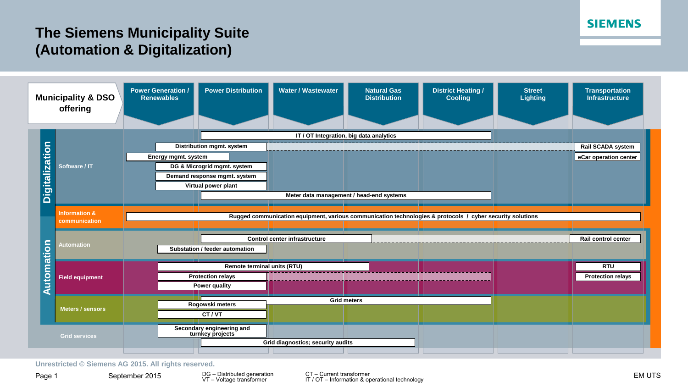## **SIEMENS**

## **The Siemens Municipality Suite (Automation & Digitalization)**



**Unrestricted © Siemens AG 2015. All rights reserved.**